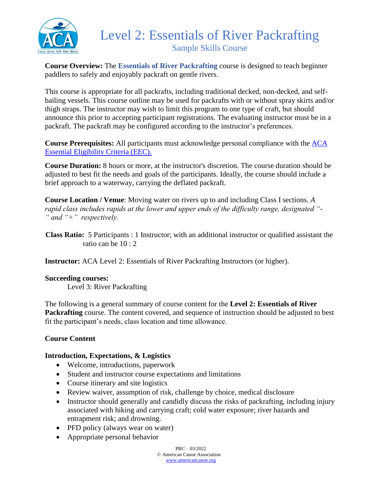

# Level 2: Essentials of River Packrafting Sample Skills Course

**Course Overview:** The **Essentials of River Packrafting** course is designed to teach beginner paddlers to safely and enjoyably packraft on gentle rivers.

This course is appropriate for all packrafts, including traditional decked, non-decked, and selfbailing vessels. This course outline may be used for packrafts with or without spray skirts and/or thigh straps. The instructor may wish to limit this program to one type of craft, but should announce this prior to accepting participant registrations. The evaluating instructor must be in a packraft. The packraft may be configured according to the instructor's preferences.

**Course Prerequisites:** All participants must acknowledge personal compliance with the [ACA](https://americancanoe.org/essential-eligibility-criteria/)  [Essential Eligibility Criteria \(EEC\).](https://americancanoe.org/essential-eligibility-criteria/)

**Course Duration:** 8 hours or more, at the instructor's discretion. The course duration should be adjusted to best fit the needs and goals of the participants. Ideally, the course should include a brief approach to a waterway, carrying the deflated packraft.

**Course Location / Venue**: Moving water on rivers up to and including Class I sections. *A rapid class includes rapids at the lower and upper ends of the difficulty range, designated "- " and "+" respectively.*

 **Class Ratio:** 5 Participants : 1 Instructor; with an additional instructor or qualified assistant the ratio can be 10 : 2

**Instructor:** ACA Level 2: Essentials of River Packrafting Instructors (or higher).

# **Succeeding courses:**

Level 3: River Packrafting

The following is a general summary of course content for the **Level 2: Essentials of River Packrafting** course. The content covered, and sequence of instruction should be adjusted to best fit the participant's needs, class location and time allowance.

# **Course Content**

# **Introduction, Expectations, & Logistics**

- Welcome, introductions, paperwork
- Student and instructor course expectations and limitations
- Course itinerary and site logistics
- Review waiver, assumption of risk, challenge by choice, medical disclosure
- Instructor should generally and candidly discuss the risks of packrafting, including injury associated with hiking and carrying craft; cold water exposure; river hazards and entrapment risk; and drowning.
- PFD policy (always wear on water)
- Appropriate personal behavior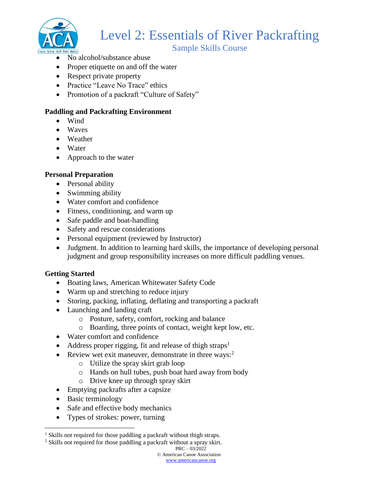

# Level 2: Essentials of River Packrafting

Sample Skills Course

- No alcohol/substance abuse
- Proper etiquette on and off the water
- Respect private property
- Practice "Leave No Trace" ethics
- Promotion of a packraft "Culture of Safety"

# **Paddling and Packrafting Environment**

- Wind
- Waves
- Weather
- Water
- Approach to the water

# **Personal Preparation**

- Personal ability
- Swimming ability
- Water comfort and confidence
- Fitness, conditioning, and warm up
- Safe paddle and boat-handling
- Safety and rescue considerations
- Personal equipment (reviewed by Instructor)
- Judgment. In addition to learning hard skills, the importance of developing personal judgment and group responsibility increases on more difficult paddling venues.

# **Getting Started**

- Boating laws, American Whitewater Safety Code
- Warm up and stretching to reduce injury
- Storing, packing, inflating, deflating and transporting a packraft
- Launching and landing craft
	- o Posture, safety, comfort, rocking and balance
	- o Boarding, three points of contact, weight kept low, etc.
- Water comfort and confidence
- Address proper rigging, fit and release of thigh straps<sup>1</sup>
- Review wet exit maneuver, demonstrate in three ways: $2$ 
	- o Utilize the spray skirt grab loop
	- o Hands on hull tubes, push boat hard away from body
	- o Drive knee up through spray skirt
- Emptying packrafts after a capsize
- Basic terminology

 $\overline{a}$ 

- Safe and effective body mechanics
- Types of strokes: power, turning

<sup>2</sup> Skills not required for those paddling a packraft without a spray skirt.

<sup>&</sup>lt;sup>1</sup> Skills not required for those paddling a packraft without thigh straps.

PRC – 03/2022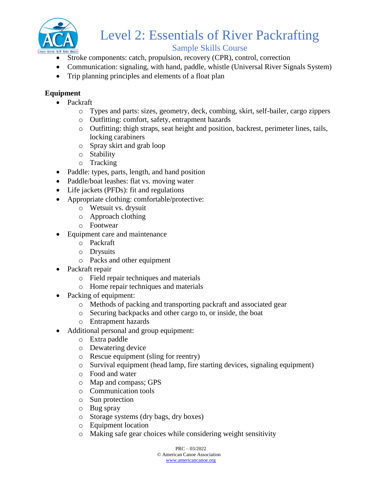

# Level 2: Essentials of River Packrafting

# Sample Skills Course

- Stroke components: catch, propulsion, recovery (CPR), control, correction
- Communication: signaling, with hand, paddle, whistle (Universal River Signals System)
- Trip planning principles and elements of a float plan

# **Equipment**

- Packraft
	- o Types and parts: sizes, geometry, deck, combing, skirt, self-bailer, cargo zippers
	- o Outfitting: comfort, safety, entrapment hazards
	- o Outfitting: thigh straps, seat height and position, backrest, perimeter lines, tails, locking carabiners
	- o Spray skirt and grab loop
	- o Stability
	- o Tracking
- Paddle: types, parts, length, and hand position
- Paddle/boat leashes: flat vs. moving water
- Life jackets (PFDs): fit and regulations
- Appropriate clothing: comfortable/protective:
	- o Wetsuit vs. drysuit
	- o Approach clothing
	- o Footwear
- Equipment care and maintenance
	- o Packraft
	- o Drysuits
	- o Packs and other equipment
- Packraft repair
	- o Field repair techniques and materials
	- o Home repair techniques and materials
- Packing of equipment:
	- o Methods of packing and transporting packraft and associated gear
	- o Securing backpacks and other cargo to, or inside, the boat
	- o Entrapment hazards
- Additional personal and group equipment:
	- o Extra paddle
	- o Dewatering device
	- o Rescue equipment (sling for reentry)
	- o Survival equipment (head lamp, fire starting devices, signaling equipment)
	- o Food and water
	- o Map and compass; GPS
	- o Communication tools
	- o Sun protection
	- o Bug spray
	- o Storage systems (dry bags, dry boxes)
	- o Equipment location
	- o Making safe gear choices while considering weight sensitivity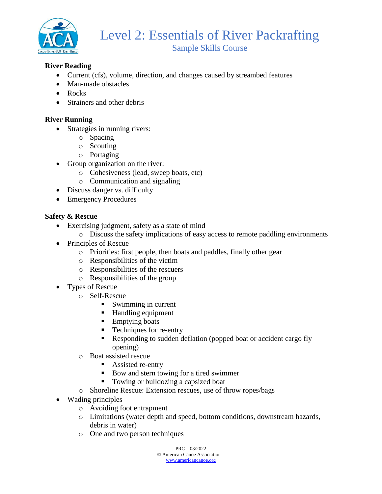

# **River Reading**

- Current (cfs), volume, direction, and changes caused by streambed features
- Man-made obstacles
- Rocks
- Strainers and other debris

## **River Running**

- Strategies in running rivers:
	- o Spacing
	- o Scouting
	- o Portaging
- Group organization on the river:
	- o Cohesiveness (lead, sweep boats, etc)
	- o Communication and signaling
- Discuss danger vs. difficulty
- Emergency Procedures

#### **Safety & Rescue**

- Exercising judgment, safety as a state of mind
	- o Discuss the safety implications of easy access to remote paddling environments
- Principles of Rescue
	- o Priorities: first people, then boats and paddles, finally other gear
	- o Responsibilities of the victim
	- o Responsibilities of the rescuers
	- o Responsibilities of the group
- Types of Rescue
	- o Self-Rescue
		- Swimming in current
		- Handling equipment
		- Emptying boats
		- Techniques for re-entry
		- Responding to sudden deflation (popped boat or accident cargo fly opening)
	- o Boat assisted rescue
		- Assisted re-entry
		- Bow and stern towing for a tired swimmer
		- Towing or bulldozing a capsized boat
	- o Shoreline Rescue: Extension rescues, use of throw ropes/bags
- Wading principles
	- o Avoiding foot entrapment
	- o Limitations (water depth and speed, bottom conditions, downstream hazards, debris in water)
	- o One and two person techniques